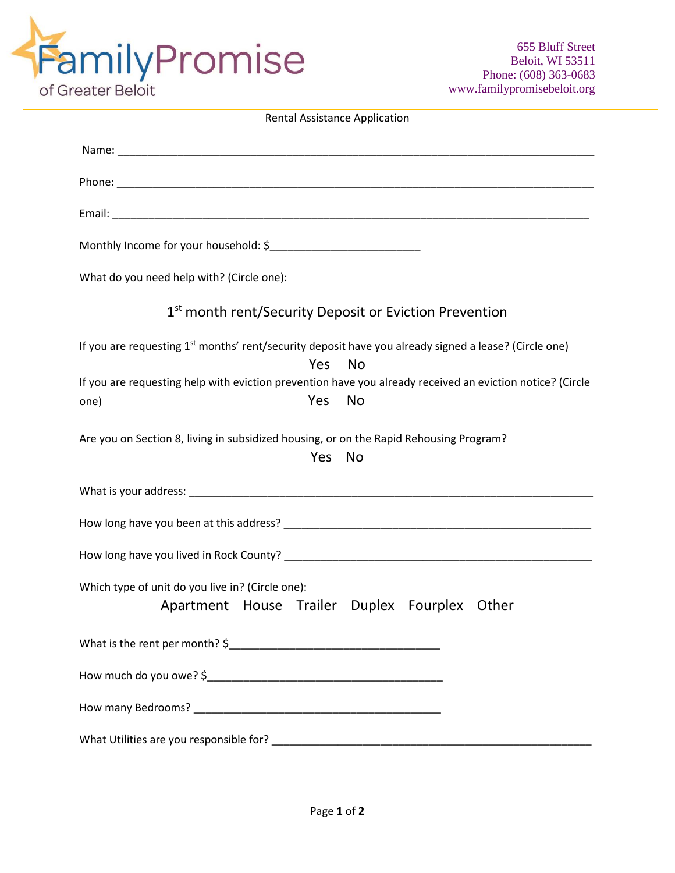

| <b>Rental Assistance Application</b>                                                                                                  |
|---------------------------------------------------------------------------------------------------------------------------------------|
|                                                                                                                                       |
|                                                                                                                                       |
|                                                                                                                                       |
|                                                                                                                                       |
| What do you need help with? (Circle one):                                                                                             |
| 1st month rent/Security Deposit or Eviction Prevention                                                                                |
| If you are requesting 1 <sup>st</sup> months' rent/security deposit have you already signed a lease? (Circle one)<br>Yes<br>No        |
| If you are requesting help with eviction prevention have you already received an eviction notice? (Circle<br>Yes<br><b>No</b><br>one) |
| Are you on Section 8, living in subsidized housing, or on the Rapid Rehousing Program?<br><b>Yes</b><br><b>No</b>                     |
|                                                                                                                                       |
|                                                                                                                                       |
|                                                                                                                                       |
| Which type of unit do you live in? (Circle one):<br>Apartment House Trailer Duplex Fourplex Other                                     |
|                                                                                                                                       |
|                                                                                                                                       |
|                                                                                                                                       |
|                                                                                                                                       |